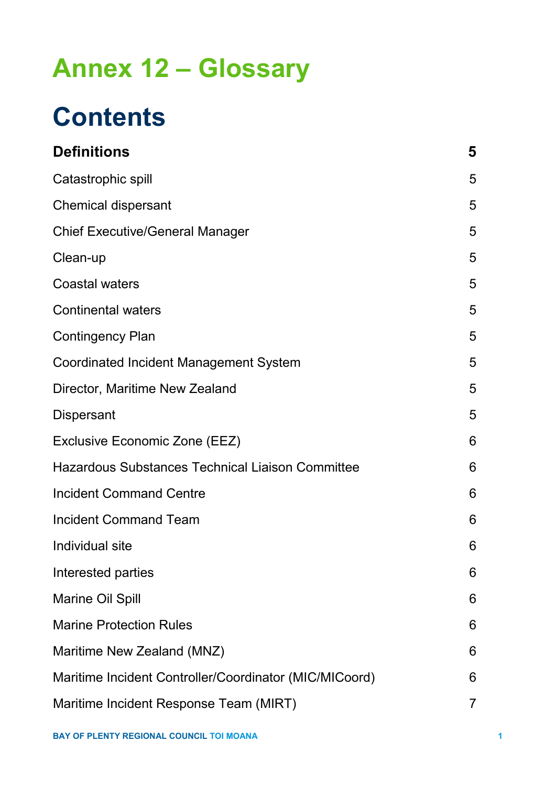## **Annex 12 – Glossary**

# **Contents**

| <b>Definitions</b>                                      | 5 |  |
|---------------------------------------------------------|---|--|
| Catastrophic spill                                      | 5 |  |
| <b>Chemical dispersant</b>                              |   |  |
| <b>Chief Executive/General Manager</b>                  | 5 |  |
| Clean-up                                                | 5 |  |
| <b>Coastal waters</b>                                   | 5 |  |
| <b>Continental waters</b>                               | 5 |  |
| <b>Contingency Plan</b>                                 | 5 |  |
| <b>Coordinated Incident Management System</b>           | 5 |  |
| Director, Maritime New Zealand                          | 5 |  |
| <b>Dispersant</b>                                       | 5 |  |
| Exclusive Economic Zone (EEZ)                           | 6 |  |
| <b>Hazardous Substances Technical Liaison Committee</b> | 6 |  |
| <b>Incident Command Centre</b>                          | 6 |  |
| <b>Incident Command Team</b>                            |   |  |
| Individual site                                         |   |  |
| Interested parties                                      |   |  |
| <b>Marine Oil Spill</b>                                 | 6 |  |
| <b>Marine Protection Rules</b>                          | 6 |  |
| Maritime New Zealand (MNZ)                              |   |  |
| Maritime Incident Controller/Coordinator (MIC/MICoord)  |   |  |
| Maritime Incident Response Team (MIRT)                  |   |  |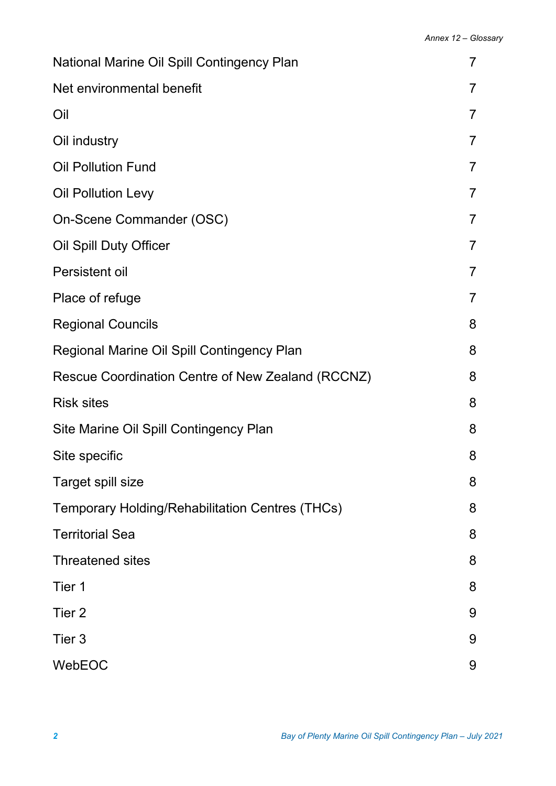| National Marine Oil Spill Contingency Plan             |                |  |
|--------------------------------------------------------|----------------|--|
| Net environmental benefit                              |                |  |
| Oil                                                    | $\overline{7}$ |  |
| Oil industry                                           | $\overline{7}$ |  |
| <b>Oil Pollution Fund</b>                              | 7              |  |
| <b>Oil Pollution Levy</b>                              | $\overline{7}$ |  |
| On-Scene Commander (OSC)                               | $\overline{7}$ |  |
| Oil Spill Duty Officer                                 | $\overline{7}$ |  |
| Persistent oil                                         | $\overline{7}$ |  |
| Place of refuge                                        | $\overline{7}$ |  |
| <b>Regional Councils</b>                               | 8              |  |
| Regional Marine Oil Spill Contingency Plan             | 8              |  |
| Rescue Coordination Centre of New Zealand (RCCNZ)      | 8              |  |
| <b>Risk sites</b>                                      | 8              |  |
| Site Marine Oil Spill Contingency Plan                 | 8              |  |
| Site specific                                          | 8              |  |
| Target spill size                                      | 8              |  |
| <b>Temporary Holding/Rehabilitation Centres (THCs)</b> | 8              |  |
| <b>Territorial Sea</b>                                 | 8              |  |
| <b>Threatened sites</b>                                | 8              |  |
| Tier 1                                                 | 8              |  |
| Tier <sub>2</sub>                                      | 9              |  |
| Tier 3                                                 | 9              |  |
| WebEOC                                                 |                |  |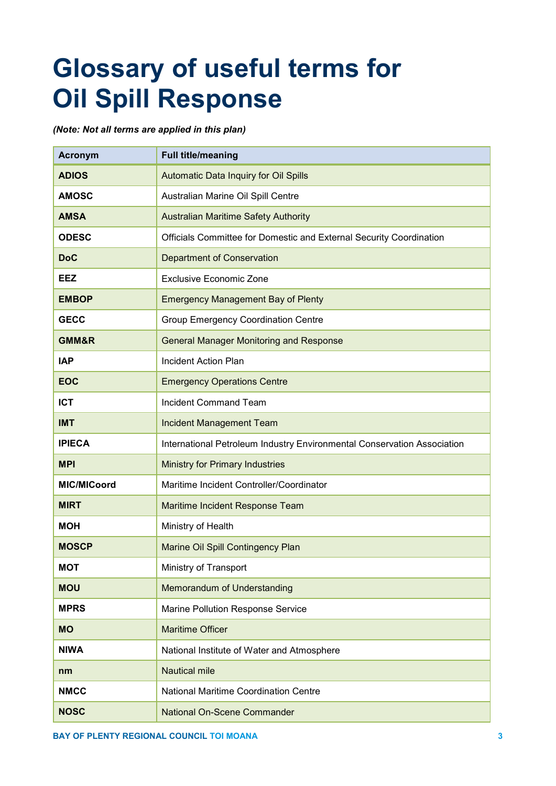# **Glossary of useful terms for Oil Spill Response**

*(Note: Not all terms are applied in this plan)*

| <b>Acronym</b>     | <b>Full title/meaning</b>                                               |
|--------------------|-------------------------------------------------------------------------|
| <b>ADIOS</b>       | Automatic Data Inquiry for Oil Spills                                   |
| <b>AMOSC</b>       | Australian Marine Oil Spill Centre                                      |
| <b>AMSA</b>        | <b>Australian Maritime Safety Authority</b>                             |
| <b>ODESC</b>       | Officials Committee for Domestic and External Security Coordination     |
| <b>DoC</b>         | <b>Department of Conservation</b>                                       |
| EEZ                | <b>Exclusive Economic Zone</b>                                          |
| <b>EMBOP</b>       | <b>Emergency Management Bay of Plenty</b>                               |
| <b>GECC</b>        | <b>Group Emergency Coordination Centre</b>                              |
| GMM&R              | <b>General Manager Monitoring and Response</b>                          |
| <b>IAP</b>         | <b>Incident Action Plan</b>                                             |
| <b>EOC</b>         | <b>Emergency Operations Centre</b>                                      |
| <b>ICT</b>         | <b>Incident Command Team</b>                                            |
| <b>IMT</b>         | <b>Incident Management Team</b>                                         |
| <b>IPIECA</b>      | International Petroleum Industry Environmental Conservation Association |
| <b>MPI</b>         | <b>Ministry for Primary Industries</b>                                  |
| <b>MIC/MICoord</b> | Maritime Incident Controller/Coordinator                                |
| <b>MIRT</b>        | Maritime Incident Response Team                                         |
| <b>MOH</b>         | Ministry of Health                                                      |
| <b>MOSCP</b>       | Marine Oil Spill Contingency Plan                                       |
| <b>MOT</b>         | Ministry of Transport                                                   |
| <b>MOU</b>         | Memorandum of Understanding                                             |
| <b>MPRS</b>        | Marine Pollution Response Service                                       |
| <b>MO</b>          | <b>Maritime Officer</b>                                                 |
| <b>NIWA</b>        | National Institute of Water and Atmosphere                              |
| nm                 | <b>Nautical mile</b>                                                    |
| <b>NMCC</b>        | <b>National Maritime Coordination Centre</b>                            |
| <b>NOSC</b>        | <b>National On-Scene Commander</b>                                      |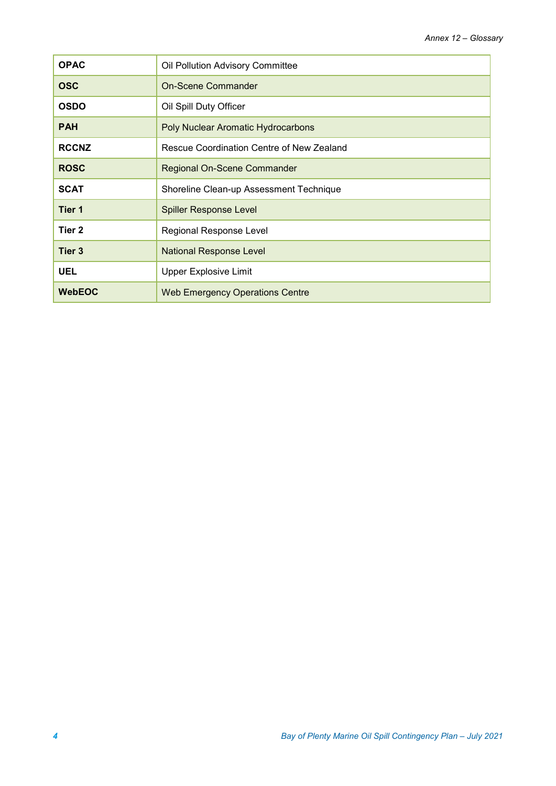| <b>OPAC</b>       | Oil Pollution Advisory Committee          |
|-------------------|-------------------------------------------|
| <b>OSC</b>        | <b>On-Scene Commander</b>                 |
| <b>OSDO</b>       | Oil Spill Duty Officer                    |
| <b>PAH</b>        | Poly Nuclear Aromatic Hydrocarbons        |
| <b>RCCNZ</b>      | Rescue Coordination Centre of New Zealand |
| <b>ROSC</b>       | Regional On-Scene Commander               |
| <b>SCAT</b>       | Shoreline Clean-up Assessment Technique   |
| Tier 1            | <b>Spiller Response Level</b>             |
| Tier <sub>2</sub> | Regional Response Level                   |
| Tier 3            | <b>National Response Level</b>            |
| <b>UEL</b>        | <b>Upper Explosive Limit</b>              |
| <b>WebEOC</b>     | <b>Web Emergency Operations Centre</b>    |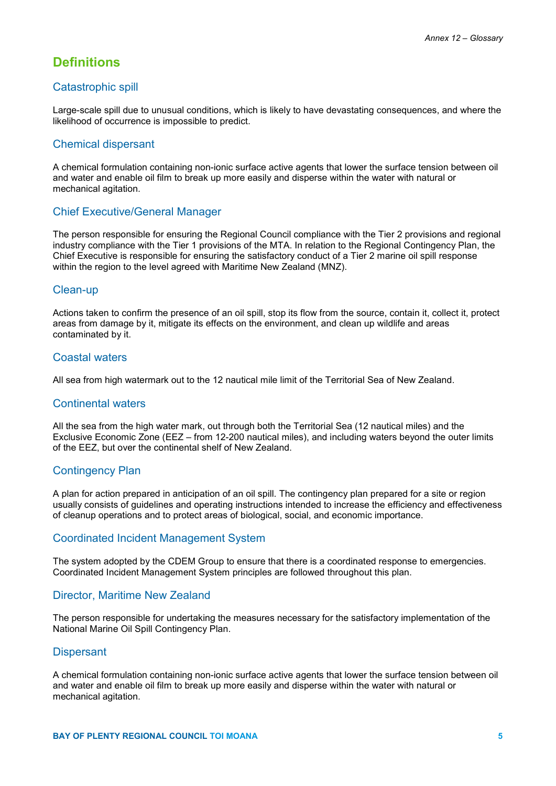## **Definitions**

#### Catastrophic spill

Large-scale spill due to unusual conditions, which is likely to have devastating consequences, and where the likelihood of occurrence is impossible to predict.

#### Chemical dispersant

A chemical formulation containing non-ionic surface active agents that lower the surface tension between oil and water and enable oil film to break up more easily and disperse within the water with natural or mechanical agitation.

#### Chief Executive/General Manager

The person responsible for ensuring the Regional Council compliance with the Tier 2 provisions and regional industry compliance with the Tier 1 provisions of the MTA. In relation to the Regional Contingency Plan, the Chief Executive is responsible for ensuring the satisfactory conduct of a Tier 2 marine oil spill response within the region to the level agreed with Maritime New Zealand (MNZ).

#### Clean-up

Actions taken to confirm the presence of an oil spill, stop its flow from the source, contain it, collect it, protect areas from damage by it, mitigate its effects on the environment, and clean up wildlife and areas contaminated by it.

#### Coastal waters

All sea from high watermark out to the 12 nautical mile limit of the Territorial Sea of New Zealand.

#### Continental waters

All the sea from the high water mark, out through both the Territorial Sea (12 nautical miles) and the Exclusive Economic Zone (EEZ – from 12-200 nautical miles), and including waters beyond the outer limits of the EEZ, but over the continental shelf of New Zealand.

## Contingency Plan

A plan for action prepared in anticipation of an oil spill. The contingency plan prepared for a site or region usually consists of guidelines and operating instructions intended to increase the efficiency and effectiveness of cleanup operations and to protect areas of biological, social, and economic importance.

#### Coordinated Incident Management System

The system adopted by the CDEM Group to ensure that there is a coordinated response to emergencies. Coordinated Incident Management System principles are followed throughout this plan.

#### Director, Maritime New Zealand

The person responsible for undertaking the measures necessary for the satisfactory implementation of the National Marine Oil Spill Contingency Plan.

#### **Dispersant**

A chemical formulation containing non-ionic surface active agents that lower the surface tension between oil and water and enable oil film to break up more easily and disperse within the water with natural or mechanical agitation.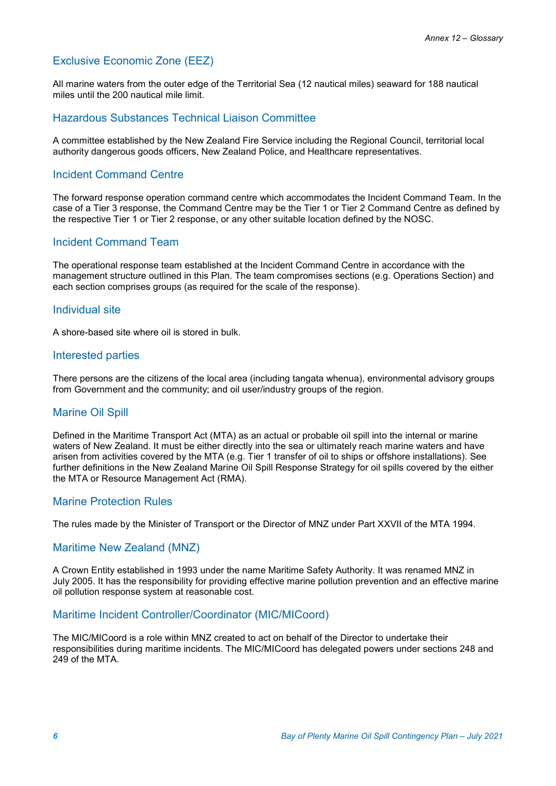## Exclusive Economic Zone (EEZ)

All marine waters from the outer edge of the Territorial Sea (12 nautical miles) seaward for 188 nautical miles until the 200 nautical mile limit.

#### Hazardous Substances Technical Liaison Committee

A committee established by the New Zealand Fire Service including the Regional Council, territorial local authority dangerous goods officers, New Zealand Police, and Healthcare representatives.

## Incident Command Centre

The forward response operation command centre which accommodates the Incident Command Team. In the case of a Tier 3 response, the Command Centre may be the Tier 1 or Tier 2 Command Centre as defined by the respective Tier 1 or Tier 2 response, or any other suitable location defined by the NOSC.

## Incident Command Team

The operational response team established at the Incident Command Centre in accordance with the management structure outlined in this Plan. The team compromises sections (e.g. Operations Section) and each section comprises groups (as required for the scale of the response).

#### Individual site

A shore-based site where oil is stored in bulk.

#### Interested parties

There persons are the citizens of the local area (including tangata whenua), environmental advisory groups from Government and the community; and oil user/industry groups of the region.

## Marine Oil Spill

Defined in the Maritime Transport Act (MTA) as an actual or probable oil spill into the internal or marine waters of New Zealand. It must be either directly into the sea or ultimately reach marine waters and have arisen from activities covered by the MTA (e.g. Tier 1 transfer of oil to ships or offshore installations). See further definitions in the New Zealand Marine Oil Spill Response Strategy for oil spills covered by the either the MTA or Resource Management Act (RMA).

#### Marine Protection Rules

The rules made by the Minister of Transport or the Director of MNZ under Part XXVII of the MTA 1994.

#### Maritime New Zealand (MNZ)

A Crown Entity established in 1993 under the name Maritime Safety Authority. It was renamed MNZ in July 2005. It has the responsibility for providing effective marine pollution prevention and an effective marine oil pollution response system at reasonable cost.

## Maritime Incident Controller/Coordinator (MIC/MICoord)

The MIC/MICoord is a role within MNZ created to act on behalf of the Director to undertake their responsibilities during maritime incidents. The MIC/MICoord has delegated powers under sections 248 and 249 of the MTA.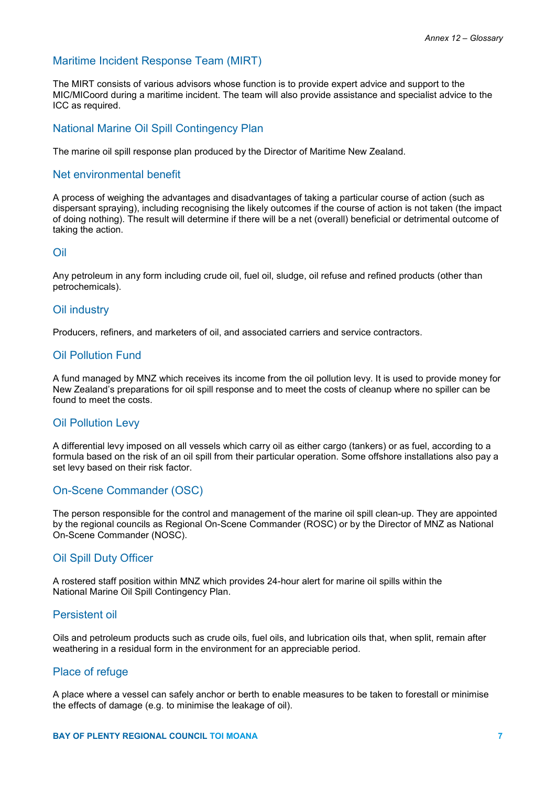## Maritime Incident Response Team (MIRT)

The MIRT consists of various advisors whose function is to provide expert advice and support to the MIC/MICoord during a maritime incident. The team will also provide assistance and specialist advice to the ICC as required.

#### National Marine Oil Spill Contingency Plan

The marine oil spill response plan produced by the Director of Maritime New Zealand.

#### Net environmental benefit

A process of weighing the advantages and disadvantages of taking a particular course of action (such as dispersant spraying), including recognising the likely outcomes if the course of action is not taken (the impact of doing nothing). The result will determine if there will be a net (overall) beneficial or detrimental outcome of taking the action.

#### Oil

Any petroleum in any form including crude oil, fuel oil, sludge, oil refuse and refined products (other than petrochemicals).

#### Oil industry

Producers, refiners, and marketers of oil, and associated carriers and service contractors.

#### Oil Pollution Fund

A fund managed by MNZ which receives its income from the oil pollution levy. It is used to provide money for New Zealand's preparations for oil spill response and to meet the costs of cleanup where no spiller can be found to meet the costs.

#### Oil Pollution Levy

A differential levy imposed on all vessels which carry oil as either cargo (tankers) or as fuel, according to a formula based on the risk of an oil spill from their particular operation. Some offshore installations also pay a set levy based on their risk factor.

#### On-Scene Commander (OSC)

The person responsible for the control and management of the marine oil spill clean-up. They are appointed by the regional councils as Regional On-Scene Commander (ROSC) or by the Director of MNZ as National On-Scene Commander (NOSC).

#### Oil Spill Duty Officer

A rostered staff position within MNZ which provides 24-hour alert for marine oil spills within the National Marine Oil Spill Contingency Plan.

#### Persistent oil

Oils and petroleum products such as crude oils, fuel oils, and lubrication oils that, when split, remain after weathering in a residual form in the environment for an appreciable period.

#### Place of refuge

A place where a vessel can safely anchor or berth to enable measures to be taken to forestall or minimise the effects of damage (e.g. to minimise the leakage of oil).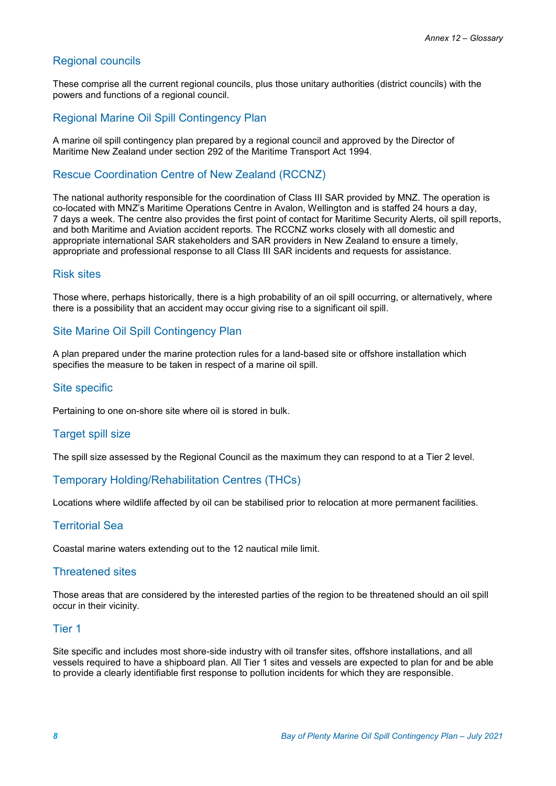## Regional councils

These comprise all the current regional councils, plus those unitary authorities (district councils) with the powers and functions of a regional council.

## Regional Marine Oil Spill Contingency Plan

A marine oil spill contingency plan prepared by a regional council and approved by the Director of Maritime New Zealand under section 292 of the Maritime Transport Act 1994.

## Rescue Coordination Centre of New Zealand (RCCNZ)

The national authority responsible for the coordination of Class III SAR provided by MNZ. The operation is co-located with MNZ's Maritime Operations Centre in Avalon, Wellington and is staffed 24 hours a day, 7 days a week. The centre also provides the first point of contact for Maritime Security Alerts, oil spill reports, and both Maritime and Aviation accident reports. The RCCNZ works closely with all domestic and appropriate international SAR stakeholders and SAR providers in New Zealand to ensure a timely, appropriate and professional response to all Class III SAR incidents and requests for assistance.

## Risk sites

Those where, perhaps historically, there is a high probability of an oil spill occurring, or alternatively, where there is a possibility that an accident may occur giving rise to a significant oil spill.

## Site Marine Oil Spill Contingency Plan

A plan prepared under the marine protection rules for a land-based site or offshore installation which specifies the measure to be taken in respect of a marine oil spill.

## Site specific

Pertaining to one on-shore site where oil is stored in bulk.

## Target spill size

The spill size assessed by the Regional Council as the maximum they can respond to at a Tier 2 level.

## Temporary Holding/Rehabilitation Centres (THCs)

Locations where wildlife affected by oil can be stabilised prior to relocation at more permanent facilities.

#### Territorial Sea

Coastal marine waters extending out to the 12 nautical mile limit.

#### Threatened sites

Those areas that are considered by the interested parties of the region to be threatened should an oil spill occur in their vicinity.

#### Tier 1

Site specific and includes most shore-side industry with oil transfer sites, offshore installations, and all vessels required to have a shipboard plan. All Tier 1 sites and vessels are expected to plan for and be able to provide a clearly identifiable first response to pollution incidents for which they are responsible.